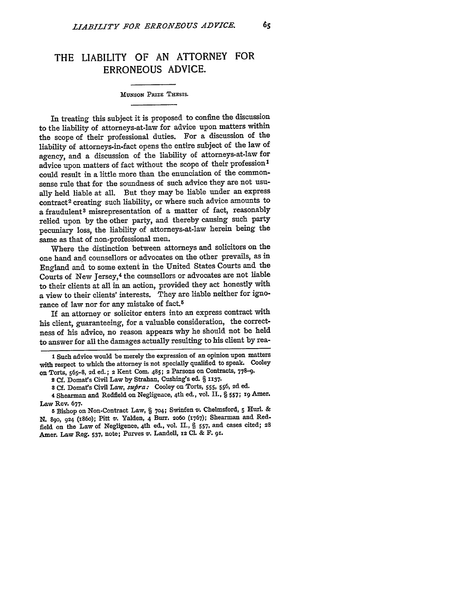## THE LIABILITY OF **AN** ATTORNEY FOR **ERRONEOUS ADVICE.**

## MUNSON PRIZE THESIS.

In treating this subject it is proposed to confine the discussion to the liability of attorneys-at-law for advice upon matters within the scope of their professional duties. For a discussion of the liability of attorneys-in-fact opens the entire subject of the law of agency, and a discussion of the liability of attorneys-at-law for advice upon matters of fact without the scope of their profession<sup>1</sup> could result in a little more than the enunciation of the commonsense rule that for the soundness of such advice they are not usually held liable at all. But they may be liable under an express contract<sup>2</sup> creating such liability, or where such advice amounts to a fraudulent<sup>3</sup> misrepresentation of a matter of fact, reasonably relied upon by the other party, and thereby causing such party pecuniary loss, the liability of attorneys-at-law herein being the same as that of non-professional men.

Where the distinction between attorneys and solicitors on the one hand and counsellors or advocates on the other prevails, as in England and to some extent in the United States Courts and the Courts of New Jersey,<sup>4</sup> the counsellors or advocates are not liable to their clients at all in an action, provided they act honestly with a view to their clients' interests. They are liable neither for ignorance of law nor for any mistake of fact.<sup>5</sup>

If an attorney or solicitor enters into an express contract with his client, guaranteeing, for a valuable consideration, the correctness of his advice, no reason appears why he should not be held to answer for all the damages actually resulting to his client **by** rea-

**l** Such advice would be merely the expression of an opinion upon matters with respect to which the attorney is not specially qualified to speak. Cooley on Torts, **565-8,** 2d ed.; 2 Kent Com. 485; 2 Parsons on Contracts, **778-9.**

**4** Shearman and Redfield on Negligence, 4th ed., vol. **II.,** § **557; I9** Amer. Law Rev. 677-

**5** Bishop on Non-Contract Law, § **704;** Swinfen v'. Chelmsford, **5** Hurl. **& N. 89o,** 924 (i86o); Pitt v. Yalden, 4 Burr. **2oo (1767);** Shearman and Redfield on the Law of Negligence, 4th ed., vol. **II.,** § **557,** and cases cited; 28 Amer. Law Reg. **537,** note; Purves **v.** Landell, **12 CL. &** F. **9r.**

**<sup>2</sup>Cf.** Domats Civil Law **by** Strahan, Cushing's ed. § **1137.**

**<sup>8</sup> Cf.** Domat's Civil Law, *sufira:* Cooley on Torts, 555, **556,** 2d ed.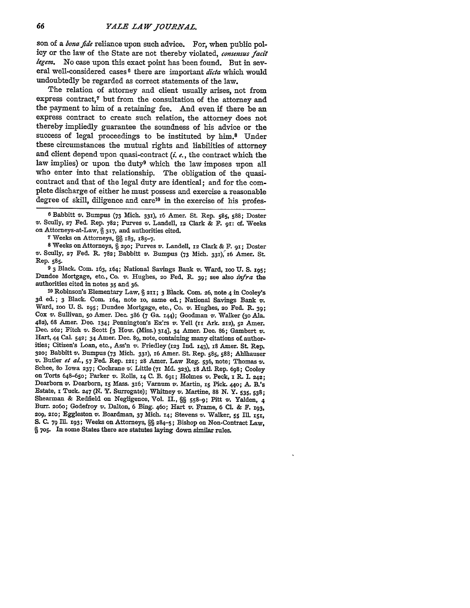son of a *bona fide* reliance upon such advice. For, when public policy or the law of the State are not thereby violated, *consemus facit legem.* No case upon this exact point has been found. But in several well-considered cases **<sup>8</sup>**there are important *dicta* which would undoubtedly be regarded as correct statements of the law.

The relation of attorney and client usually arises, not from express contract,7 but from the consultation of the attorney and the payment to him of a retaining fee. And even **if** there be an express contract to create such relation, the attorney does not thereby impliedly guarantee the soundness of his advice or the success of legal proceedings to be instituted **by** him.8 Under these circumstances the mutual rights and liabilities of attorney and client depend upon quasi-contract *(i. e.,* the contract which the law implies) or upon the duty<sup>9</sup> which the law imposes upon all who enter into that relationship. The obligation of the quasicontract and that of the legal duty are identical; and for the complete discharge of either he must possess and exercise a reasonable degree of skill, diligence and care<sup>10</sup> in the exercise of his profes-

**6** Babbitt v. Bumpus **(73** Mich. **331), 16** Amer. St. Rep. **585, 588;** Doster *v.* Scully, **27** Fed. Rep. **782;** Purves v. Landell, **12** Clark **&** F. **9i: cf.** Weeks on Attorneys-at-Law, **§ 317,** and authorities cited.

**7** Weeks on Attorneys, **N 183,** 185-7.

**<sup>8</sup>**Weeks on Attorneys, **§ 290;** Purves v. Landell, **12** Clark **&** F. **91;** Doster V'. **Scully, 27** Fed. R. **782;** Babbitt v. Bumpus **(73** Mich. **331),** z6 Amer. **St.** Rep. **585.**

**9 3** Black. Com. 163, 164; National Savings Bank v. Ward, **ioo U. S. I95;** Dundee Mortgage, etc., Co. **vi,.** Hughes, **2o** Fed, R. **39;** see also *infra* the authorities cited in notes **35** and **36.**

**<sup>10</sup>**Robinson's Elementary Law, **§ 2II; 3** Black. **Com. 26,** note 4 in Cooley's **3d** ed.; **3** Black. Com. 164, note **io,** same ed.; National Savings Bank v. Ward, ioo **U. S. x95;** Dundee Mortgage, etc., Co. v. Hughes, **20** Fed. R. **39;** Cox v. Sullivan, **5o** Amer. Dec. **386 (7** Ga. **144);** Goodman '. Walker **(3o** Ala. **482), 68** Amer. Dec. **134;** Pennington's **Ex'rs** *v.* Yell **(ii** Ark. **212), 52** Amer. Dec. **262;** Fitch **v.** Scott **[3** How. (Miss.) **314],** 34 Amer. Dec. **86;** Gambert v. Hart, **44** Cal. **542;** 34 Amer. Dec. **89,** note, containing many citations of authorities; Citizen's Loan, etc., Ass'n v. Friedley **(123 Ind. 143), i8** Amer. St. Rep. 320; Babbitt v. Bumpus (73 Mich. 331), 16 Amer. St. Rep. 585, 588; Ahlhauser v. Butler et al., 57 Fed. Rep. 121; 28 Amer. Law Reg. 536, note; Thomas v. Schee, 80 Iowa 237; Cochrane v. Little (71 Md. 323), 18 Atl. Rep. 698 Dearborn v. Dearborn, **15** Mass. **316;** Varnum **v.** Martin, **i5** Pick. **440; A.** B.'s Estate, **x Tuck. 247 (N.** Y. Surrogate); Whitney v. Martine, **88** *N.* Y. **535, 538;** Shearman **&** Redfield on Negligence, Vol. II., **§§ 558-9;** Pitt **v.** Yalden, **4** Burr. **2060;** Godefroy v. Dalton, **6** Bing. 46o; Hart **v.** Frame, **6 Cl. & F. 193, 2o9, 2io;** Eggleston **v.** Boardman, **37** Mich. **i4;** Stevens **v.** Walker, **55 Ill. xSi, S. C. 79 Ill. x93;** Weeks on Attorneys, **§§ 284-5;** Bishop on Non-Contract Law, **§ 705.** In some States there are statutes laying down similar rules.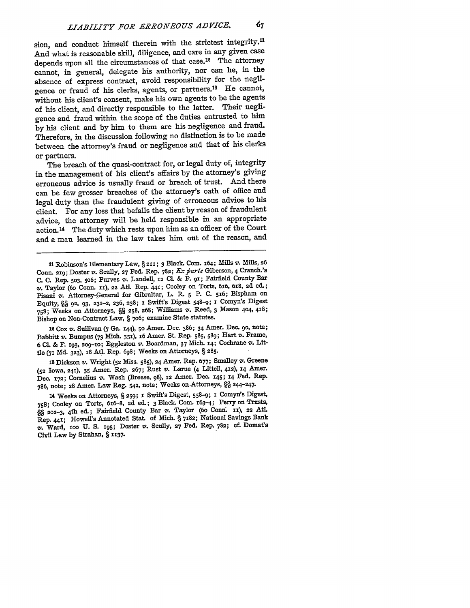sion, and conduct himself therein with the strictest integrity.<sup>11</sup> And what is reasonable skill, diligence, and care in any given case depends upon all the circumstances of that case.<sup>12</sup> The attorney cannot, in general, delegate his authority, nor can he, **in** the absence of express contract, avoid responsibility for the negligence or fraud of his clerks, agents, or partners.'8 He cannot, without his client's consent, make his own agents to be the agents of his client, and directly responsible to the latter. Their negligence and fraud within the scope of the duties entrusted to him **by** his client and **by** him to them are his negligence and fraud. Therefore, in the discussion following no distinction is to be made between the attorney's fraud or negligence and that of his clerks or partners.

The breach of the quasi-contract for, or legal duty of, integrity in the management of his client's affairs **by** the attorney's giving erroneous advice is usually fraud or breach of trust. And there can be few grosser breaches of the attorney's oath of office and legal duty than the fraudulent giving of erroneous advice to his client. For any loss that befalls the client **by** reason of fraudulent advice, the attorney will be held responsible in an appropriate action. 14 The duty which rests upon him as an officer of the Court and a man learned in the law takes him out of the reason, and

11 Robinson's Elementary Law, § **211;** 3 Black. Com. 164; Mills v. Mills, 26 Conn. 219; Doster v. Scully, 27 Fed. Rep. 782; Ex parte Giberson, 4 Cranch.'s **C. C.** Rep. **503,** 5o6; Purves v. Landell, x2 **CL &** F. **gi;** Fairfield County Bar **v.** Taylor **(6o** Conn. **Xi),** 22 AtL Rep. 41; Cooley on Torts, **6x6,** 618, **2d** ed.; Pisani v. Attorney-General for Gibraltar, L. R. 5 P. **C.** 5x6; Bispham on Equity, **§§ 92. 93, 231-2,** 236, **238; z** Swift's Digest 548-9; **1** Comyn's Digest **758;** Weeks on Attorneys, **§%** 258, **268;** Williams v. Reed, 3 Mason **404,** 418; Bishop on Non-Contract Law, **§** 7o6; examine State statutes.

<sup>12</sup>**Cox** *v.* Sullivan **(7** Ga. 144), 5o Amer. Dec. **386;** 34 Amer. Dec. go, note; Babbitt *v,.* Bumpus **(73** Mich. **331),** x6 Amer. St. Rep. **585, 589;** Hart v. Frame, **6 Cl. & F. 193, 209-1o;** Eggleston v. Boardman, **37** Mich. **14;** Cochrane v. Littie **(71 Md. 323), x8** Atl. Rep. 698; Weeks on Attorneys, **§ 285.**

**<sup>18</sup>**Dickson v. Wright **(52** Miss. **585), 24** Amer. Rep. **677;** Smalley v. Greene **(52** Iowa, **241),** 35 Amer. Rep. **267;** Rust v. **Larue** (4 Littell, **412), 14** Amer. Dec. **172;** Cornelius v. Wash (Breese, **98), 12** Amer. Dec. 145; **14** Fed. Rep. **786,** note; 28 Amer. Law Reg. 542, note; Weeks on.Attorneys, **§ 244-247.**

14 Weeks on Attorneys, § **259;** *x* Swift's Digest, 558-9; 1 Comyn's Digest, **758;** Cooley on Torts, 6x6-8, **2d** ed.; 3 Black. Com. 163-4; Perry on Trusts, **§§ 202-3,** <sup>4</sup> th ed.; Fairfield County Bar v. Taylor (60 Conn. **ii),** 22 **Atl.** Rep. 441; Howells Annotated Stat. of Mich. **§** 7182; National Savings Bank v. Ward, xoo **U. S.** 95; Doster v. **Scully, 27** Fed. Rep. **782; cf** Domat's Civil Law **by** Strahan, § **1137.**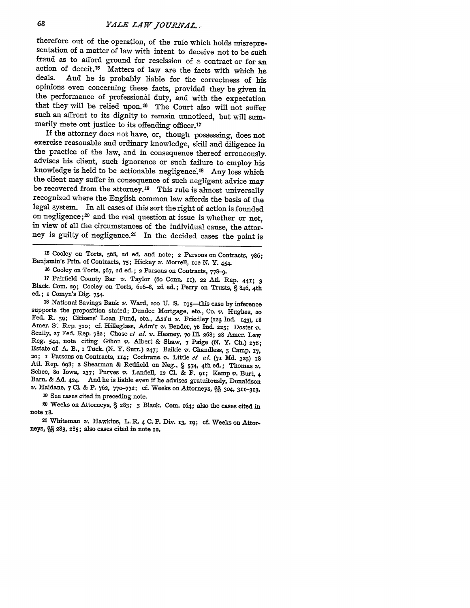therefore out of the operation, of the rule which holds misrepresentation of a matter of law with intent to deceive not to be such fraud as to afford ground for rescission of a contract or for an action of deceit.<sup>15</sup> Matters of law are the facts with which he deals. And he is probably liable for the correctness of his And he is probably liable for the correctness of his opinions even concerning these facts, provided they be given in the performance of professional duty, and with the expectation that they will be relied upon.<sup>16</sup> The Court also will not suffer such an affront to its dignity to remain unnoticed, but will summarily mete out justice to its offending officer.<sup>17</sup>

If the attorney does not have, or, though possessing, does not exercise reasonable and ordinary knowledge, skill and diligence in the practice of the law, and in consequence thereof erroneously. advises his client, such ignorance or such failure to employ his knowledge is held to be actionable negligence. 18 Any loss which the client may suffer in consequence of such negligent advice may be recovered from the attorney.<sup>19</sup> This rule is almost universally recognized where the English common law affords the basis of the legal system. In all cases of this sort the right of action is founded on negligence;<sup>20</sup> and the real question at issue is whether or not, in view of all the circumstances of the individual cause, the attorney is guilty of negligence.<sup>21</sup> In the decided cases the point is

**<sup>15</sup>**Cooley on Torts, **568, 2d** ed. and note; **2** Parsons on Contracts, **786;** Benjamin's Prin. of Contracts, **75;** Hickey v. Morrell, **102 N. Y. 454.**

**<sup>17</sup>**Fairfield County Bar v. Taylor **(6o** Conn. **ii), 22 At.** Rep. **44r; 3** Black. Com. **29;** Cooley on Torts, 616-8, **2d** ed.; Perry on Trusts, **§** 846, 4th ed.; **i** Comyn's Dig. 754.

**<sup>18</sup>**National Savings Bank v. Ward, **ioo U. S.** 195-this case **by** inference supports the proposition stated; Dundee Mortgage, etc., Co. v. Hughes, **<sup>20</sup>** Fed. R. 39; Citizens' Loan Fund, etc., Ass'n v. Friedley (123 Ind. 143), 18 Amer. St. Rep. 320; cf. Hilleglass, Adm'r v. Bender, 78 Ind. 225; Doster v. Scully, 27 Fed. Rep. 782; Chase et al. v. Heaney, 70 Ill. 268; 28 Amer. Law Reg. 544, note citing Gihon v. Albert & Shaw, 7 Paige (N. Y. Ch.) 278; Estate of A. B., I Tuck. (N. Y. Surr.) 247; Baikie v. Chandless, 3 Camp. 17, 20; I Parsons on Contracts, 114; Cochrane v. Little et al. (71 Md. 323) 1 **Atl.** Rep. **698; 2** Shearman **&** Redfield on Neg., **§** 574, 4th ed.; Thomas v'. Schee, 80 Iowa, 237; Purves *v*. Landell, 12 Cl. & F. 91; Kemp *v*. Burt, 4 Barn. & Ad. 424. And he is liable even if he advises gratuitously, Donaldson Barn. **& Ad. 424.** And he is liable even if he advises gratuitously, Donaldson *vz.* Haldane, **7 CL. &** F. **762, 770-772; cf.** Weeks on Attorneys, **§ 304, 311-313.**

**<sup>19</sup>**See cases cited in preceding note.

**<sup>20</sup>**Weeks on Attorneys, **§ 283; 3** Black. Com. 164; also the cases cited in note **z8.**

21 Whiteman v. Hawkins, L. R. 4 **C.** P. Div. **13, 19;** cf. Weeks on Attorneys, **§§ 283, 285;** also cases cited in note **12.**

**<sup>16</sup>**Cooley on Torts, **567, 2d** ed. **; 2** Parsons on Contracts, **778-9.**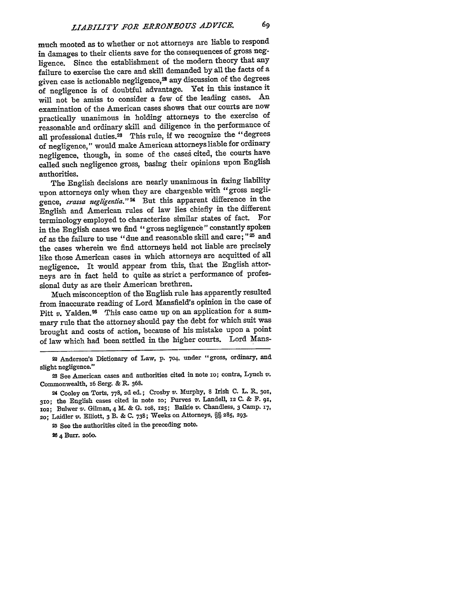much mooted as to whether or not attorneys are liable to respond in damages to their clients save for the consequences of gross negligence. Since the establishment of the modern theory that any failure to exercise the care and skill demanded by all the facts of a given case is actionable negligence,<sup>22</sup> any discussion of the degrees of negligence is of doubtful advantage. Yet in this instance it will not be amiss to consider a few of the leading cases. An examination of the American cases shows that our courts are now practically unanimous in holding attorneys to the exercise of reasonable and ordinary skill and diligence in the performance of all professional duties.28 This rule, if we recognize the "degrees of negligence," would make American attorneys liable for ordinary negligence, though, in some of the caseg cited, the courts have called such negligence gross, basing their opinions upon English authorities.

The English decisions are nearly unanimous in fixing liability upon attorneys only when they are chargeable with "gross negligence, *crassa negligentia*."<sup>24</sup> But this apparent difference in the English and American rules of law lies chiefly in the different terminology employed to characterize similar states of fact. For in the English cases we find "gross negligence" constantly spoken of as the failure to use "due and reasonable skill and care; **"2** and the cases wherein we find attorneys held not liable are precisely like those American cases in which attorneys are acquitted of all negligence. It would appear from this, that the English attorneys are in fact held to quite as strict a performance of professional duty as are their American brethren.

Much misconception of the English rule has apparently resulted from inaccurate reading of Lord Mansfield's opinion in the case of Pitt  $v$ . Yalden.<sup>26</sup> This case came up on an application for a summary rule that the attorney should pay the debt for which suit was brought and costs of action, because of his mistake upon a point of law which had been settled in the higher courts. Lord Mans-

**28** 4 Burr. **2060.**

**<sup>22</sup>**Anderson's Dictionary of Law, p. 704, under "gross, ordinary, and slight negligence."

**<sup>28</sup>**See American cases and authorities cited in note io; contra, Lynch v. Commonwealth, **z6** Serg. & R. **368.**

**<sup>24</sup>**Cooley on Torts, 778, **2d** ed.; Crosby v. Murphy, 8 Irish C. L. R. **301,** 3xo; the English cases cited in note **zo;** Purves **v,.** Landell, **12** C. & F. **9x, IO2;** Bulwer v. Gilman, 4 **M. & G.** io8, **125;** Baikie v. Chandless, **3** Camp. **17,** 2o; Laidler v. Elliott, **3** B. **& C.** 738; Weeks on Attorneys, **§§** 285, **293.**

**<sup>25</sup>**See the authorities cited in the preceding note.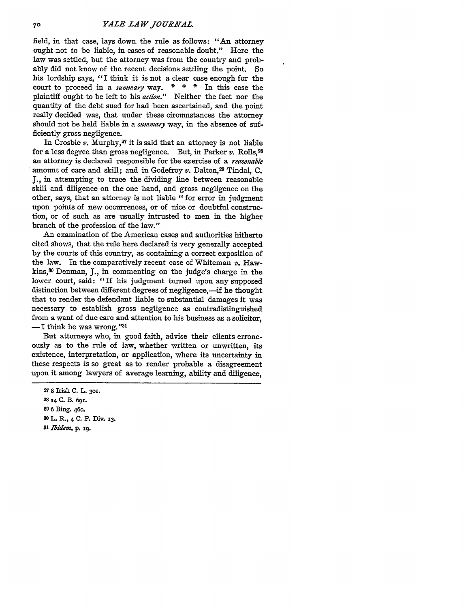field, in that case, lays down the rule as follows: "An attorney ought not to be liable, in cases of reasonable doubt." Here the law was settled, but the attorney was from the country and probably did not know of the recent decisions settling the point. So his lordship says, "I think it is not a clear case enough for the court to proceed in a *summary* way. **\* \* \*** In this case the plaintiff ought to be left to his *action."* Neither the fact nor the quantity of the debt sued for had been ascertained, and the point really decided was, that under these circumstances the attorney should not be held liable in a *summary* way, in the absence of sufficiently gross negligence.

In Crosbie  $v$ . Murphy,<sup>27</sup> it is said that an attorney is not liable for a less degree than gross negligence. But, in Parker *v.* Rolls,23 an attorney is declared responsible for the exercise of a *reasonable* amount of care and skill; and in Godefroy v. Dalton,<sup>29</sup> Tindal, C. J., in attempting to trace the dividing line between reasonable skill and diligence on the one hand, and gross negligence on the other, says, that an attorney is not liable "for error in judgment upon points of new occurrences, or of nice or doubtful construction, or of such as are usually intrusted to men in the higher branch of the profession of the law."

An examination of the American cases and authorities hitherto cited shows, that the rule here declared is very generally accepted by the courts of this country, as containing a correct exposition of the law. In the comparatively recent case of Whiteman  $v$ . Hawkins,80 Denman, J., in commenting on the judge's charge in the lower court, said: "If his judgment turned upon any supposed distinction between different degrees of negligence,—if he thought that to render the defendant liable to substantial damages it was necessary to establish gross negligence as contradistinguished from a want of due care and attention to his business as a solicitor, -I think he was wrong."<sup>31</sup>

But attorneys who, in good faith, advise their clients erroneously as to the rule of law, whether written or unwritten, its existence, interpretation, or application, where its uncertainty in these respects is so great as to render probable a disagreement upon it among lawyers of average learning, ability and diligence,

**<sup>27 8</sup>** Irish **C. L. 3O.** 28 14 **C. B.** 691. **29 6** Bing. 46o. **<sup>80</sup>**L. **R.,** 4 **C.** P. Div. **13.** *81 Ibidem, p.* **x9.**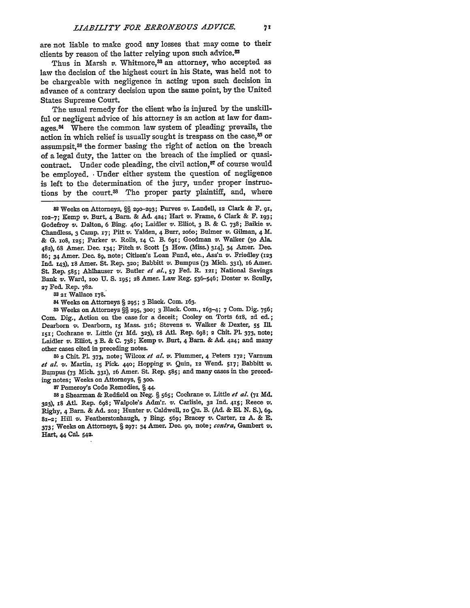are not liable to make good **any** losses that may come to their clients **by** reason of the latter relying upon such advice.82

Thus in Marsh  $v$ . Whitmore,<sup>33</sup> an attorney, who accepted as law the decision of the highest court in his State, was held not to be chargeable with negligence in acting upon such decision in advance of a contrary decision upon the same point, **by** the United States Supreme Court.

The usual remedy for the client who is injured **by** the unskill**ful** or negligent advice of his attorney is an action at law for damages.<sup>84</sup> Where the common law system of pleading prevails, the action in which relief is usually sought is trespass on the case,<sup>85</sup> or assumpsit,38 the former basing the right of action on the breach of a legal duty, the latter on the breach of the implied or quasicontract. Under code pleading, the civil action, $\delta^7$  of course would be employed. Under either system the question of negligence is left to the determination of the jury, under proper instructions by the court.<sup>38</sup> The proper party plaintiff, and, where

**<sup>82</sup>**Weeks on Attorneys, **§§ 2o--293;** Purves v'. Landell, **12** Clark **& F.** gi, **102-7;** Kemp v. Burt, 4 Barn. **& Ad. 424;** Hart *v.* Frame, **6** Clark **&** F. **193;** Godefroy v. Dalton, **6** Bing. **46o;** Laidler **v.** Elliot, **3** B. **& C. 738;** Baikie v. Chandless, **3** Camp. **i7;** Pitt v. Yalden, 4 Burr, **2o6o;** Bulmer v. Gilman, 4 M. **& G. xo8, X25;** Parker **v.** Rolls, **14 C.** B. **691;** Goodman v. Walker **(3o** Ala. 482), **68** Amer. Dec. **134;** Fitch v. Scott **[3** How. (Miss.) **314],** 34 Amer. Dec. **86; 34** Amer. Dec. **89,** note; Citizen's Loan Fund, etc., Ass'n **v.** Friedley **(123 Ind.** 143), 18 Amer. St. Rep. **320;** Babbitt **v.** Bumpus **(73** Mich. **331), i6** Amer. St. Rep. **585;** Ahlhauser v. Butler *et al.,* **57** Fed. R. **121;** National Savings Bank v. Ward, **ioo U. S.** 195; **28** Amer. Law Reg. **536-546;** Doster **v.** Scully, **27** Fed. Rep. **782.**

**33 21** Wallace 178.

**<sup>84</sup>**Weeks on Attorneys **§ 295; 3** Black. Com. **x63.**

**<sup>85</sup>**Weeks on Attorneys **§§ 295, 300; 3** Black. Com., **163-4; 7** Com. Dig. **756;** Com. Dig., Action on the case for a deceit; Cooley on Torts **618, 2d** ed.; Dearborn **v.** Dearborn, **i5** Mass. 316; Stevens **v.** Walker **&** Dexter, **55 Ill. xsI;** Cochrane **v.** Little **(7i Md. 323), x8** Atl. Rep. **698; 2** Chit. **Pl. 373,** note; Laidler v. Elliot, **3** B. **& C. 738;** Kemp **v'.** Burt, 4 Barn. **& Ad.** 424; and many other cases cited in preceding notes.

**86 2** Chit. **PL 373,** note; Wilcox *et at. v.* Plummer, 4 Peters **172;** Varnum *et al. v.* Martin, **15** Pick. **44o;** Hopping v'. Quin, **12** Wend. 517; Babbitt v. Bumpus **(73** Mich. **331), x6** Amer. St. Rep. **585;** and many cases in the preceding notes; Weeks on Attorneys, **§ 300.**

**<sup>87</sup>**Pomeroy's Code Remedies, §44.

**S 2** Shearman **&** Redfield on Neg. **§ 565;** Cochrane v. Little *et al.* **(71 Md. 323), 18 Atl** Rep. **698;** Walpole's Adm'r. **vi.** Carlisle, **32 Ind.** 415; Reece v. Righy, 4 Barn. & Ad. 202; Hunter v. Caldwell,  $\text{ro Qu. B. (Ad. & E. N. S.), 69.}$ **81-2;** Hill **v.** Featherstonhaugh, **7** Bing. **569;** Bracey **v.** Carter, **12 A. & E. 373-** Weeks on Attorneys, **§ 297;** 34 Amer. Dec. go, note; *contra,* Gambert **v.** Hart, 44 **Cal. 542.**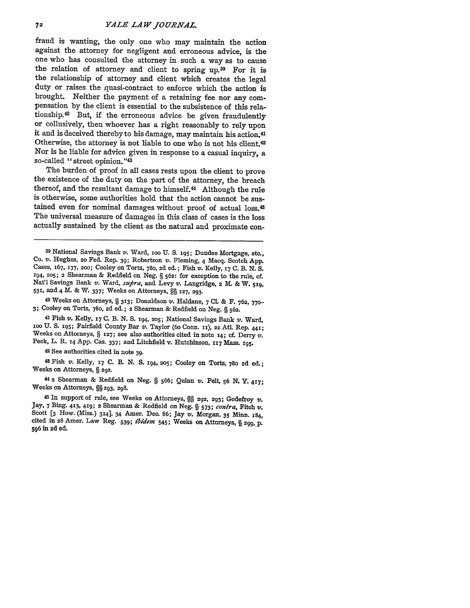fraud is wanting, the only one who may maintain the action against the attorney for negligent and erroneous advice, is the one who has consulted the attorney in such a way as to cause the relation of attorney and client to spring up.<sup>39</sup> For it is the relationship of attorney and client which creates the legal duty or raises the quasi-contract to enforce which the action is brought. Neither the payment of a retaining fee nor any compensation **by** the client is essential to the subsistence of this relationship.<sup>40</sup> But, if the erroneous advice be given fraudulently or collusively, then whoever has a right reasonably to rely upon it and is deceived thereby to his damage, may maintain his action.<sup>41</sup> Otherwise, the attorney is not liable to one who is not his client.42 Nor is he liable for advice given in response to a casual inquiry, a so-called "street opinion."43

The burden of proof in all cases rests upon the client to prove the existence of the duty on the part of the attorney, the breach thereof, and the resultant damage to himself.<sup>44</sup> Although the rule is otherwise, some authorities hold that the action cannot be sustained even for nominal damages without proof of actual loss.<sup>45</sup> The universal measure of damages in this class of cases is the loss actually sustained **by** the client as the natural and proximate con-

**<sup>39</sup>**National Savings Bank v. Ward, **ioo U. S. 195;** Dundee Mortgage, etc., Co. v. Hughes, **2o** Fed. Rep. **39;** Robertson *v.* Fleming, 4 Macq. Scotch **App.** Cases, **167, 177, 200;** Cooley on Torts, **780, 2d** ed. **;** Fish v. Kelly, **17 C.** B. **N. S. 194, 205; 2** Shearman **&** Redfield on Neg. **§ 562:** for exception to the rule, cf. Nat'l Savings Bank v. Ward, *supra,* and Levy v. Langridge, **2** M. **&** W. **519, 531,** and 4 M. **&** W. **337;** Weeks on Attorneys, **§§ 127, 293.**

**<sup>40</sup>**Weeks on Attorneys, **§ 313;** Donaldson v'. Haldane, **7 CL & F. 762, 770- 3;** Cooley on Torts, **780, 2d** ed.; **2** Shearman **&** Redfield on Neg. **§ 562.**

<sup>41</sup> Fish  $v$ . Kelly, 17 C. B. N. S. 194, 205; National Savings Bank  $v$ . Ward, 100 U. S. 195; Fairfield County Bar  $v$ . Taylor (60 Conn. 11), 22 Atl. Rep. 441; Weeks on Attorneys, § 127; see also authorities cited in not

**<sup>42</sup>**See authorities cited in note **39.**

**<sup>48</sup>**Fish v. Kelly, **17 C.** B. **N. S. 194, 205;** Cooley on Torts, **780 2d** ed.; Weeks on Attorneys, **§ 292.**

**44 2** Shearman **&** Redfield on Neg. **§ 566;** Quinn *v.* Pelt, **56 N. Y. 417;** Weeks on Attorneys, **§§ 293, 298.**

<sup>45</sup> In support of rule, see Weeks on Attorneys, §§ 292, 293; Godefroy  $v$ . Jay, 7 Bing. 413, 419; 2 Shearman & Redfield on Neg. § 573; *contra*, Fitch  $v$ . Scott [3 How. (Miss.) 314], 34 Amer. Dec. 86; Jay  $v$ . Morgan, 3 **596 in 2d** ed.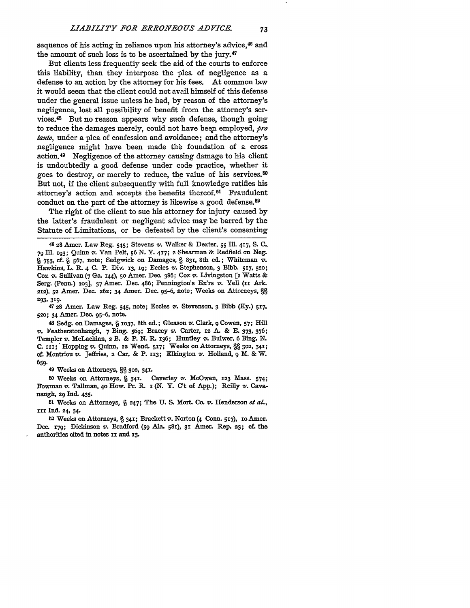73

sequence of his acting in reliance upon his attorney's advice,<sup>46</sup> and the amount of such loss is to be ascertained **by** the jury.47

But clients less frequently seek the aid of the courts to enforce this liability, than they interpose the plea of negligence as a defense to an action by the attorney for his fees. At common law it would seem that the client could not avail himself of this defense under the general issue unless he had, **by** reason of the attorney's negligence, lost all possibility of benefit from the attorney's services.48 But no reason appears why such defense, though going to reduce ihe damages merely, could not have been employed, *pro tanto,* under a plea of confession and avoidance; and the attorney's negligence might have been made the foundation of a cross action.49 Negligence of the attorney causing damage to his client is undoubtedly a good defense under code practice, whether it goes to destroy, or merely to reduce, the value of his services.<sup>50</sup> But not, if the client subsequently with full knowledge ratifies his attorney's action and accepts the benefits thereof.<sup>51</sup> Fraudulent conduct on the part of the attorney is likewise a good defense.<sup>82</sup>

The right of the client to sue his attorney for injury caused by the latter's fraudulent or negligent advice may be barred by the Statute of Limitations, or be defeated by the client's consenting

46 28 Amer. Law Reg. 545; Stevens v. Walker **&** Dexter, **55** I1. **417, S. C. 79 Ill. 193;** Quinn v. Van Pelt, **56 N. Y. 417;** 2 Shearman **&** Redfield on Neg. § **753,** cf. § **567,** note; Sedgwick on Damages, § **831,** 8th ed.; Whiteman v. Hawkins, L. R. 4 **C.** P. Div. **13, 19;** Eccles v. Stephenson, 3 Bibb. 517, **520;** Cox v. Sullivan **(7** Ga. r44), **50** Amer. Dec. **386;** Cox v. Livingston **[2** Watts **&** Serg. (Penn.) **103]**, 37 Amer. Dec. 486; Pennington's Ex'rs v. Yell (11 Ark. **212), 52** Amer. Dec. **262;** 34 Amer. Dec. **95-6,** note; Weeks on Attorneys, §§ **293, 319.**

**<sup>47</sup>**28 Amer. Law Reg. 545, note; Eccles v'. Stevenson, 3 Bibb **(Ky.) 517, 520;** 34 Amer. Dec. **95-6,** note.

**<sup>48</sup>**Sedg. on Damages, § **X037,** 8th ed.; Gleason v. Clark, 9 Cowen, **57;** Hill v. Featherstonhaugh, **7** Bing. **569;** Bracey *v.* Carter, **12 A & E. 373,** 376; Templer v. McLachlan, 2 B. **&** P. **N. R. 136;** Huntley v. Bulwer, **6** Bing. **N. C.** iix; Hopping v. Quinn, x2 Wend. **517;** Weeks on Attorneys, §§ **302, 341;** cf. Montriou v. JeiEries, 2 Car. **&** P. **313;** Elkington v. Holland, **9** M. **&** W. **659.**

**<sup>49</sup>**Weeks on Attorneys, **§ 302, 34'.**

**<sup>50</sup>**Weeks on Attorneys, **§** 341. Caverley v. McOwen, **123** Mass. 574; Bowman v. Tallman, **4o** How. Pr. R. *i* **(N.** Y. **C't** of App.); Reilly v. Cavanaugh, 29 Ind. 435.

**Si** Weeks on Attorneys, **§ 247;** The **U. S. Mort. Co.** v. Henderson *et al., xi* **Ind. 24,** 34.

**<sup>52</sup>**Weeks on Attorneys, **§** 34'; Brackett *z.* Norton (4 Conn. **5T7),** io Amer. Dec. **z7g;** Dickinson *v.* Bradford **(59** Ala. **581), 3** Amer. Rep. **23; ef.** the authorities cited in notes **xx** and **13.**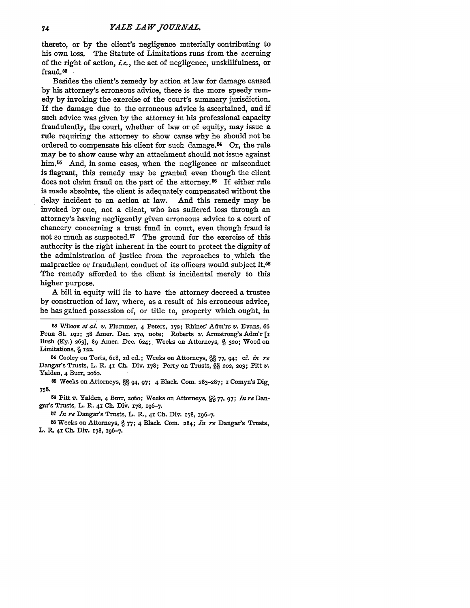thereto, or **by** the client's negligence materially contributing to his own loss. The Statute of Limitations runs from the accruing of the right of action, **i.e.,** the act of negligence, unskillfulness, or fraud. **<sup>5</sup>**

Besides the client's remedy by action at law for damage caused **by** his attorney's erroneous advice, there is the more speedy remedy by invoking the exercise of the court's summary jurisdiction. If the damage due to the erroneous advice is ascertained, and if such advice was given **by** the attorney in his professional capacity fraudulently, the court, whether of law or of equity, may issue a rule requiring the attorney to show cause why he should not be ordered to compensate his client for such damage. $54$  Or, the rule may be to show cause why an attachment should not issue against him.<sup>55</sup> And, in some cases, when the negligence or misconduct is flagrant, this remedy may be granted even though the client does not claim fraud on the part of the attorney.<sup>56</sup> If either rule is made absolute, the client is adequately compensated without the delay incident to an action at law. And this remedy may be invoked **by** one, not a client, who has suffered loss through an attorney's having negligently given erroneous advice to a court of chancery concerning a trust fund in court, even though fraud is not so much as suspected.<sup>57</sup> The ground for the exercise of this authority is the right inherent in the court to protect the dignity of the administration of justice from the reproaches to which the malpractice or fraudulent conduct of its officers would subject it.<sup>58</sup> The remedy afforded to the client is incidental merely to this higher purpose.

A bill in equity will lie to have the attorney decreed a trustee **by** construction of law, where, as a result of his erroneous advice, he has gained possession of, or title to, property which ought, in

*<sup>58</sup>*Wilcox *et al. v.* Plummer, 4 Peters, **X72;** Rhines' Adm'rs v. Evans, **66** Penn St. **192;** 38 Amer. Dec. **270,** note; Roberts v. Armstrong's Adm'r *[i* Bush **(Ky.) 263],** 89 Amer. Dec. **624;** Weeks on Attorneys, **§ 320;** Wood on Limitations, **§ 122.**

**<sup>54</sup>**Cooley on Torts, **618, 2d** ed.; Weeks on Attorneys, **§§ 77,** 94; **cf.** *in re* Dangar's Trusts, L. R. **41 Ch.** Div. 178; Perry on Trusts, §§ **202, 203;** Pitt V. Yalden, 4 Burr, **2o6o.**

**<sup>55</sup>**Weeks on Attorneys, §§ 94, **97;** 4 Black. Com. **283-287; I** Comyn's Dig. **758.**

**56** Pitt v. Yalden, 4 Burr, **2060;** Weeks on Attorneys, **% 77, 97;** *In re* Dangar's Trusts, L. R. **41 Ch.** Dir. **178,** 196-7.

**<sup>57</sup>***In re* Dangar's Trusts, L. R., **41 Ch.** Div. **178, 196-7.**

**<sup>58</sup>**Weeks on Attorneys, § **77;** 4 Black. **Com.** 284; *In re* Dangar's Trusts, L. R. **41 Ch.** Div. **178,** 196-7.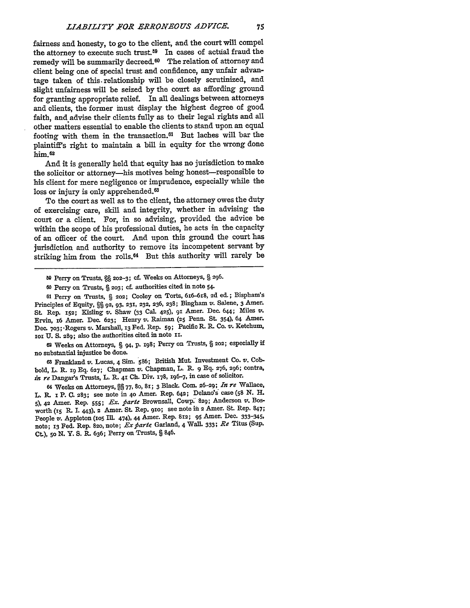fairness and honesty, to go to the client, and the court will compel the attorney to execute such trust.59 In cases of acttial fraud the remedy will be summarily decreed.<sup>60</sup> The relation of attorney and client being one of special trust and confidence, any unfair advantage taken of this- relationship will be closely scrutinized, and slight unfairness will be seized **by** the court as affording ground for granting appropriate relief. In all dealings between attorneys and clients, the former **must** display the highest degree of good faith, and advise their clients **fully** as to their legal rights and all other matters essential to enable the clients to stand upon an equal footing with them in the transaction.61 But laches will bar the plaintiff's right to maintain a bill in equity for the wrong done him. <sup>62</sup>

And it is generally held that equity has no jurisdiction to make the solicitor or attorney—his motives being honest—responsible to his client for mere negligence or imprudence, especially while the loss or injury is only apprehended.<sup>63</sup>

To the court as well as to the client, the attorney owes the duty of exercising care, skill and integrity, whether in advising the court or a client. For, in so advising, provided the advice be within the scope of his professional duties, he acts in the capacity of an officer of the court. And upon this ground the court has jurisdiction and authority to remove its incompetent servant **by** striking him from the rolls. 64 But this authority will rarely be

**<sup>60</sup>**Perry on Trusts, § **203; cf.** authorities cited in note 54.

**<sup>61</sup>**Perry on Trusts, *§* **202;** Cooley on Torts, 616-6x8, **2d** ed.; Bispham's Principles of Equity, § **92, 93, 231, 232, 236, 238;** Bingham **v.** Salene, **3** Amer. **St.** Rep. 152; Kisling **v.** Shaw **(33** Cal. **425), 91** Amer. Dec. **644;** Miles **V.** Ervin, 16 Amer. Dec. **623;** Henry **v.** Raiman **(25** Penn. St. 354), 64 Amer. Dec. **703;** -Rogers v. Marshall, **13** Fed. Rep. **59;** Pacific R. R. Co. **v.** Ketchum, 1i **U. S.** 289; also the authorities cited in note **ix.**

**<sup>62</sup>**Weeks on Attorneys, *§* 94, P. **198;** Perry on Trusts, *§* 202; especially **if** no substantial injustice be done.

**63** Franklaud v. Lucas, 4 Sim. **586;** British Mut. Investment **Co. v.** Cobbold, L. R. ig **Eq. 627;** Chapman v. Chapman, L. R. **9 Eq.** 276, **296;** contra, *in re* Dangar's Trusts, L. **R.** 41 **Ch.** Div. **178, x96-7,** in case **of** solicitor.

**<sup>64</sup>**Weeks on Attorneys, §§ **77, 80, 8i; 3** Black. **CoM. 26-29;** *In re* Wallace, L. R. **z** P. **C. 283;** see note in **4o** Amer. Rep. 642; Delano's case **(58** N. H. **5), 42** Amer. Rep. **555;** *Fx. piarte* Brownsall, Cowp. 829; Anderson **V.** Bosworth (i5 R. **1.** 443), 2 Amer. St. Rep. **91o;** see note in 2 Amer. St. Rep. 847; People v. Appleton **(io5** IIL 474), **44** Amer. Rep. **812; 95** Amer. Dec. **333-345,** note; **13** Fed. Rep. 82o, note; *Ex airte* Garland, 4 Wall. **333;** *Re* Titus (Sup. Ct.), **50 N.** Y. **S. R.** 636; Perry on Trusts, § 846.

**<sup>60</sup>** Perry on Trusts,  $\S$  202-3; cf. Weeks on Attorneys, § 296.